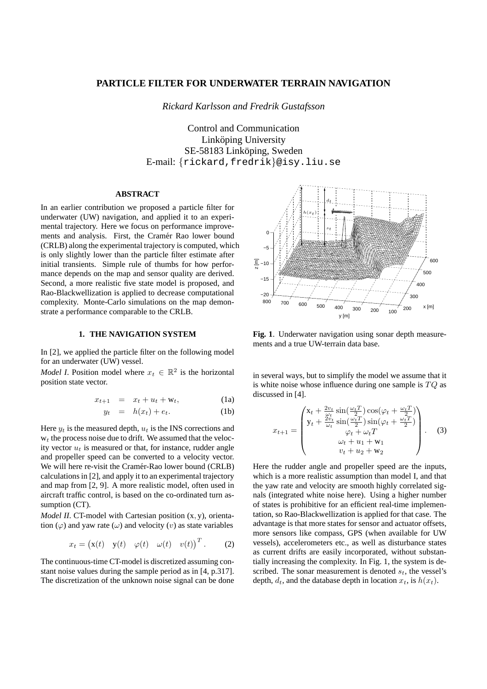# **PARTICLE FILTER FOR UNDERWATER TERRAIN NAVIGATION**

*Rickard Karlsson and Fredrik Gustafsson*

Control and Communication Linköping University SE-58183 Linköping, Sweden E-mail: {rickard,fredrik}@isy.liu.se

# **ABSTRACT**

In an earlier contribution we proposed a particle filter for underwater (UW) navigation, and applied it to an experimental trajectory. Here we focus on performance improvements and analysis. First, the Cramér Rao lower bound (CRLB) along the experimental trajectory is computed, which is only slightly lower than the particle filter estimate after initial transients. Simple rule of thumbs for how performance depends on the map and sensor quality are derived. Second, a more realistic five state model is propage replacements Rao-Blackwellization is applied to decrease computational complexity. Monte-Carlo simulations on the map demonstrate a performance comparable to the CRLB.

#### **1. THE NAVIGATION SYSTEM**

In [2], we applied the particle filter on the following model for an underwater (UW) vessel.

*Model I*. Position model where  $x_t \in \mathbb{R}^2$  is the horizontal position state vector.

$$
x_{t+1} = x_t + u_t + \mathbf{w}_t, \tag{1a}
$$

$$
y_t = h(x_t) + e_t. \tag{1b}
$$

Here  $y_t$  is the measured depth,  $u_t$  is the INS corrections and  $w_t$  the process noise due to drift. We assumed that the velocity vector  $u_t$  is measured or that, for instance, rudder angle and propeller speed can be converted to a velocity vector. We will here re-visit the Cramér-Rao lower bound (CRLB) calculations in [2], and apply it to an experimental trajectory and map from [2, 9]. A more realistic model, often used in aircraft traffic control, is based on the co-ordinated turn assumption (CT).

*Model II*. CT-model with Cartesian position (x, y), orientation  $(\varphi)$  and yaw rate  $(\omega)$  and velocity  $(v)$  as state variables

$$
x_t = (\mathbf{x}(t) \quad \mathbf{y}(t) \quad \varphi(t) \quad \omega(t) \quad v(t)\big)^T. \tag{2}
$$

The continuous-time CT-model is discretized assuming constant noise values during the sample period as in [4, p.317]. The discretization of the unknown noise signal can be done



**Fig. 1**. Underwater navigation using sonar depth measurements and a true UW-terrain data base.

in several ways, but to simplify the model we assume that it is white noise whose influence during one sample is  $TQ$  as discussed in [4].

$$
x_{t+1} = \begin{pmatrix} x_t + \frac{2v_t}{\omega_t} \sin(\frac{\omega_t T}{2}) \cos(\varphi_t + \frac{\omega_t T}{2}) \\ y_t + \frac{2v_t}{\omega_t} \sin(\frac{\omega_t T}{2}) \sin(\varphi_t + \frac{\omega_t T}{2}) \\ \varphi_t + \omega_t T \\ \omega_t + u_1 + w_1 \\ v_t + u_2 + w_2 \end{pmatrix} . \quad (3)
$$

Here the rudder angle and propeller speed are the inputs, which is a more realistic assumption than model I, and that the yaw rate and velocity are smooth highly correlated signals (integrated white noise here). Using a higher number of states is prohibitive for an efficient real-time implementation, so Rao-Blackwellization is applied for that case. The advantage is that more states for sensor and actuator offsets, more sensors like compass, GPS (when available for UW vessels), accelerometers etc., as well as disturbance states as current drifts are easily incorporated, without substantially increasing the complexity. In Fig. 1, the system is described. The sonar measurement is denoted  $s_t$ , the vessel's depth,  $d_t$ , and the database depth in location  $x_t$ , is  $h(x_t)$ .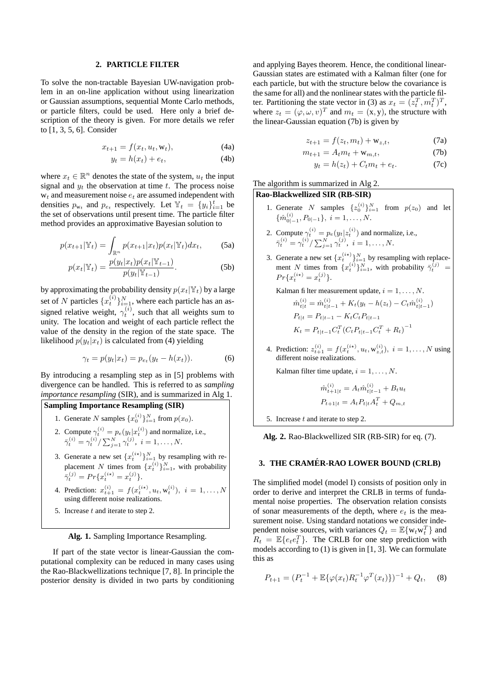#### **2. PARTICLE FILTER**

To solve the non-tractable Bayesian UW-navigation problem in an on-line application without using linearization or Gaussian assumptions, sequential Monte Carlo methods, or particle filters, could be used. Here only a brief description of the theory is given. For more details we refer to [1, 3, 5, 6]. Consider

$$
x_{t+1} = f(x_t, u_t, \mathbf{w}_t), \tag{4a}
$$

$$
y_t = h(x_t) + e_t,\tag{4b}
$$

where  $x_t \in \mathbb{R}^n$  denotes the state of the system,  $u_t$  the input signal and  $y_t$  the observation at time t. The process noise  $w_t$  and measurement noise  $e_t$  are assumed independent with densities  $p_{w_t}$  and  $p_{e_t}$  respectively. Let  $\mathbb{Y}_t = \{y_i\}_{i=1}^t$  be the set of observations until present time. The particle filter method provides an approximative Bayesian solution to

$$
p(x_{t+1}|\mathbb{Y}_t) = \int_{\mathbb{R}^n} p(x_{t+1}|x_t) p(x_t|\mathbb{Y}_t) dx_t,
$$
 (5a)

$$
p(x_t|\mathbb{Y}_t) = \frac{p(y_t|x_t)p(x_t|\mathbb{Y}_{t-1})}{p(y_t|\mathbb{Y}_{t-1})}.
$$
 (5b)

by approximating the probability density  $p(x_t|\mathbb{Y}_t)$  by a large set of N particles  $\{x_t^{(i)}\}_{i=1}^N$ , where each particle has an assigned relative weight,  $\gamma_t^{(i)}$ , such that all weights sum to unity. The location and weight of each particle reflect the value of the density in the region of the state space. The likelihood  $p(y_t|x_t)$  is calculated from (4) yielding

$$
\gamma_t = p(y_t|x_t) = p_{e_t}(y_t - h(x_t)).\tag{6}
$$

By introducing a resampling step as in [5] problems with divergence can be handled. This is referred to as *sampling importance resampling* (SIR), and is summarized in Alg 1.

# **Sampling Importance Resampling (SIR)**

- 1. Generate N samples  $\{x_0^{(i)}\}_{i=1}^N$  from  $p(x_0)$ .
- 2. Compute  $\gamma_t^{(i)} = p_e(y_t|x_t^{(i)})$  and normalize, i.e.,  $\bar{\gamma}_t^{(i)} = \gamma_t^{(i)} / \sum_{j=1}^N \gamma_t^{(j)}, i = 1, \dots, N.$
- 3. Generate a new set  $\{x_t^{(i*)}\}_{i=1}^N$  by resampling with replacement N times from  $\{x_t^{(i)}\}_{i=1}^N$ , with probability  $\bar{\gamma}_t^{(j)} = Pr\{x_t^{(i\star)} = x_t^{(j)}\}.$
- 4. Prediction:  $x_{t+1}^{(i)} = f(x_t^{(i\star)}, u_t, w_t^{(i)}), i = 1, ..., N$ using different noise realizations.
- 5. Increase  $t$  and iterate to step 2.

#### **Alg. 1.** Sampling Importance Resampling.

If part of the state vector is linear-Gaussian the computational complexity can be reduced in many cases using the Rao-Blackwellizations technique [7, 8]. In principle the posterior density is divided in two parts by conditioning

and applying Bayes theorem. Hence, the conditional linear-Gaussian states are estimated with a Kalman filter (one for each particle, but with the structure below the covariance is the same for all) and the nonlinear states with the particle filter. Partitioning the state vector in (3) as  $x_t = (z_t^T, m_t^T)^T$ , where  $z_t = (\varphi, \omega, v)^T$  and  $m_t = (x, y)$ , the structure with the linear-Gaussian equation (7b) is given by

$$
z_{t+1} = f(z_t, m_t) + \mathbf{w}_{z,t}, \tag{7a}
$$

$$
m_{t+1} = A_t m_t + \mathbf{w}_{m,t},\tag{7b}
$$

$$
y_t = h(z_t) + C_t m_t + e_t.
$$
 (7c)

## The algorithm is summarized in Alg 2. **Rao-Blackwellized SIR (RB-SIR)**

- 1. Generate N samples  $\{z_0^{(i)}\}_{i=1}^N$  from  $p(z_0)$  and let  $\{\hat{m}_{0|-1}^{(i)}, P_{0|-1}\}, i = 1, \ldots, N.$
- 2. Compute  $\gamma_t^{(i)} = p_e(y_t|z_t^{(i)})$  and normalize, i.e.,  $\bar{\gamma}_t^{(i)} = \gamma_t^{(i)} / \sum_{j=1}^N \gamma_t^{(j)}, \; i = 1, \dots, N.$
- 3. Generate a new set  $\{x_t^{(i*)}\}_{i=1}^N$  by resampling with replacement N times from  $\{x_t^{(i)}\}_{i=1}^N$ , with probability  $\bar{\gamma}_t^{(j)}$  =  $Pr\{x_t^{(i\star)} = x_t^{(j)}\}.$

Kalman filter measurement update,  $i = 1, \ldots, N$ .

$$
\hat{m}_{t|t}^{(i)} = \hat{m}_{t|t-1}^{(i)} + K_t(y_t - h(z_t) - C_t \hat{m}_{t|t-1}^{(i)}
$$
\n
$$
P_{t|t} = P_{t|t-1} - K_t C_t P_{t|t-1}
$$
\n
$$
K_t = P_{t|t-1} C_t^T (C_t P_{t|t-1} C_t^T + R_t)^{-1}
$$

)

4. Prediction:  $z_{t+1}^{(i)} = f(x_t^{(i\star)}, u_t, w_{z,t}^{(i)}), i = 1, ..., N$  using different noise realizations.

Kalman filter time update,  $i = 1, \ldots, N$ .

$$
\hat{m}_{t+1|t}^{(i)} = A_t \hat{m}_{t|t-1}^{(i)} + B_t u_t
$$

$$
P_{t+1|t} = A_t P_{t|t} A_t^T + Q_{m,t}
$$

5. Increase  $t$  and iterate to step 2.

**Alg. 2.** Rao-Blackwellized SIR (RB-SIR) for eq. (7).

### **3. THE CRAMER-RA ´ O LOWER BOUND (CRLB)**

The simplified model (model I) consists of position only in order to derive and interpret the CRLB in terms of fundamental noise properties. The observation relation consists of sonar measurements of the depth, where  $e_t$  is the measurement noise. Using standard notations we consider independent noise sources, with variances  $Q_t = \mathbb{E}\{\mathbf{w}_t \mathbf{w}_t^T\}$  and  $R_t = \mathbb{E}\lbrace e_t e_t^T \rbrace$ . The CRLB for one step prediction with models according to (1) is given in [1, 3]. We can formulate this as

$$
P_{t+1} = (P_t^{-1} + \mathbb{E}\{\varphi(x_t)R_t^{-1}\varphi^T(x_t)\})^{-1} + Q_t, \quad (8)
$$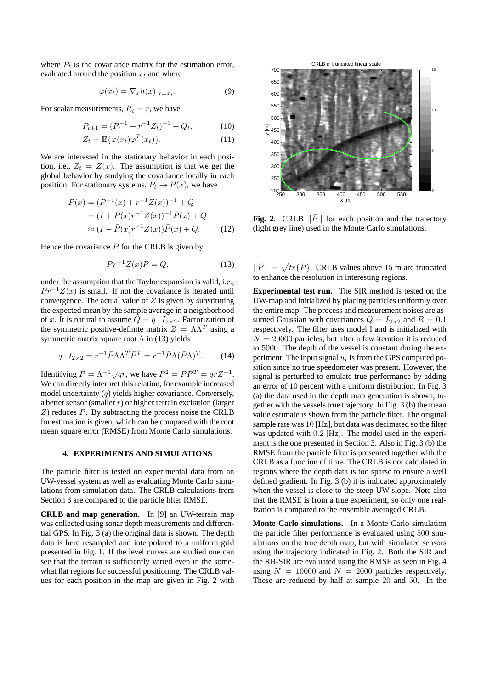where  $P_t$  is the covariance matrix for the estimation error, evaluated around the position  $x_t$  and where

$$
\varphi(x_t) = \nabla_x h(x)|_{x = x_t}.\tag{9}
$$

For scalar measurements,  $R_t = r$ , we have

$$
P_{t+1} = (P_t^{-1} + r^{-1}Z_t)^{-1} + Q_t, \tag{10}
$$

$$
Z_t = \mathbb{E}\{\varphi(x_t)\varphi^T(x_t)\}.
$$
 (11)

We are interested in the stationary behavior in each position, i.e.,  $Z_t = Z(x)$ . The assumption is that we get the global behavior by studying the covariance locally in each position. For stationary systems,  $P_t \to \bar{P}(x)$ , we have

$$
\bar{P}(x) = (\bar{P}^{-1}(x) + r^{-1}Z(x))^{-1} + Q
$$
  
=  $(I + \bar{P}(x)r^{-1}Z(x))^{-1}\bar{P}(x) + Q$   
 $\approx (I - \bar{P}(x)r^{-1}Z(x))\bar{P}(x) + Q.$  (12)

Hence the covariance  $\overline{P}$  for the CRLB is given by

$$
\bar{P}r^{-1}Z(x)\bar{P} = Q,\t\t(13)
$$

under the assumption that the Taylor expansion is valid, i.e.,  $\bar{P}r^{-1}Z(x)$  is small. If not the covariance is iterated until convergence. The actual value of  $Z$  is given by substituting the expected mean by the sample average in a neighborhood of x. It is natural to assume  $Q = q \cdot I_{2 \times 2}$ . Factorization of the symmetric positive-definite matrix  $Z = \Lambda \Lambda^T$  using a symmetric matrix square root  $\Lambda$  in (13) yields

$$
q \cdot I_{2 \times 2} = r^{-1} \bar{P} \Lambda \Lambda^T \bar{P}^T = r^{-1} \bar{P} \Lambda (\bar{P} \Lambda)^T.
$$
 (14)

Identifying  $\bar{P} = \Lambda^{-1} \sqrt{qr}$ , we have  $\bar{P}^2 = \bar{P} \bar{P}^T = qr Z^{-1}$ . We can directly interpret this relation, for example increased model uncertainty  $(q)$  yields higher covariance. Conversely, a better sensor (smaller  $r$ ) or higher terrain excitation (larger  $Z$ ) reduces  $\overline{P}$ . By subtracting the process noise the CRLB for estimation is given, which can be compared with the root mean square error (RMSE) from Monte Carlo simulations.

### **4. EXPERIMENTS AND SIMULATIONS**

The particle filter is tested on experimental data from an UW-vessel system as well as evaluating Monte Carlo simulations from simulation data. The CRLB calculations from Section 3 are compared to the particle filter RMSE.

**CRLB and map generation**. In [9] an UW-terrain map was collected using sonar depth measurements and differential GPS. In Fig. 3 (a) the original data is shown. The depth data is here resampled and interpolated to a uniform grid presented in Fig. 1. If the level curves are studied one can see that the terrain is sufficiently varied even in the somewhat flat regions for successful positioning. The CRLB values for each position in the map are given in Fig. 2 with



**Fig. 2.** CRLB  $\|\bar{P}\|$  for each position and the trajectory (light grey line) used in the Monte Carlo simulations.

 $||\bar{P}|| = \sqrt{tr\{\bar{P}\}}$ . CRLB values above 15 m are truncated to enhance the resolution in interesting regions.

**Experimental test run.** The SIR method is tested on the UW-map and initialized by placing particles uniformly over the entire map. The process and measurement noises are assumed Gaussian with covariances  $Q = I_{2\times 2}$  and  $R = 0.1$ respectively. The filter uses model I and is initialized with  $N = 20000$  particles, but after a few iteration it is reduced to 5000. The depth of the vessel is constant during the experiment. The input signal  $u_t$  is from the GPS computed position since no true speedometer was present. However, the signal is perturbed to emulate true performance by adding an error of 10 percent with a uniform distribution. In Fig. 3 (a) the data used in the depth map generation is shown, together with the vessels true trajectory. In Fig. 3 (b) the mean value estimate is shown from the particle filter. The original sample rate was 10 [Hz], but data was decimated so the filter was updated with 0.2 [Hz]. The model used in the experiment is the one presented in Section 3. Also in Fig. 3 (b) the RMSE from the particle filter is presented together with the CRLB as a function of time. The CRLB is not calculated in regions where the depth data is too sparse to ensure a well defined gradient. In Fig. 3 (b) it is indicated approximately when the vessel is close to the steep UW-slope. Note also that the RMSE is from a true experiment, so only one realization is compared to the ensemble averaged CRLB.

**Monte Carlo simulations.** In a Monte Carlo simulation the particle filter performance is evaluated using 500 simulations on the true depth map, but with simulated sensors using the trajectory indicated in Fig. 2. Both the SIR and the RB-SIR are evaluated using the RMSE as seen in Fig. 4 using  $N = 10000$  and  $N = 2000$  particles respectively. These are reduced by half at sample 20 and 50. In the